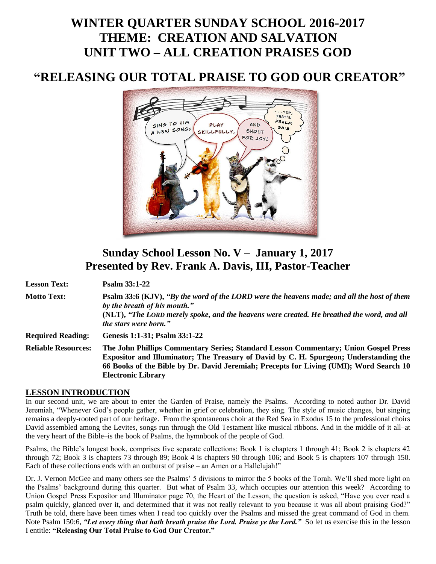# **WINTER QUARTER SUNDAY SCHOOL 2016-2017 THEME: CREATION AND SALVATION UNIT TWO – ALL CREATION PRAISES GOD**

## **"RELEASING OUR TOTAL PRAISE TO GOD OUR CREATOR"**



## **Sunday School Lesson No. V – January 1, 2017 Presented by Rev. Frank A. Davis, III, Pastor-Teacher**

**Lesson Text: Psalm 33:1-22**

**Motto Text: Psalm 33:6 (KJV),** *"By the word of the LORD were the heavens made; and all the host of them by the breath of his mouth."* **(NLT),** *"The LORD merely spoke, and the heavens were created. He breathed the word, and all the stars were born."* **Required Reading: Genesis 1:1-31; Psalm 33:1-22**

**Reliable Resources: The John Phillips Commentary Series; Standard Lesson Commentary; Union Gospel Press Expositor and Illuminator; The Treasury of David by C. H. Spurgeon; Understanding the 66 Books of the Bible by Dr. David Jeremiah; Precepts for Living (UMI); Word Search 10 Electronic Library**

### **LESSON INTRODUCTION**

In our second unit, we are about to enter the Garden of Praise, namely the Psalms. According to noted author Dr. David Jeremiah, "Whenever God's people gather, whether in grief or celebration, they sing. The style of music changes, but singing remains a deeply-rooted part of our heritage. From the spontaneous choir at the Red Sea in Exodus 15 to the professional choirs David assembled among the Levites, songs run through the Old Testament like musical ribbons. And in the middle of it all–at the very heart of the Bible–is the book of Psalms, the hymnbook of the people of God.

Psalms, the Bible's longest book, comprises five separate collections: Book 1 is chapters 1 through 41; Book 2 is chapters 42 through 72; Book 3 is chapters 73 through 89; Book 4 is chapters 90 through 106; and Book 5 is chapters 107 through 150. Each of these collections ends with an outburst of praise – an Amen or a Hallelujah!"

Dr. J. Vernon McGee and many others see the Psalms' 5 divisions to mirror the 5 books of the Torah. We'll shed more light on the Psalms' background during this quarter. But what of Psalm 33, which occupies our attention this week? According to Union Gospel Press Expositor and Illuminator page 70, the Heart of the Lesson, the question is asked, "Have you ever read a psalm quickly, glanced over it, and determined that it was not really relevant to you because it was all about praising God?" Truth be told, there have been times when I read too quickly over the Psalms and missed the great command of God in them. Note Psalm 150:6, *"Let every thing that hath breath praise the Lord. Praise ye the Lord."* So let us exercise this in the lesson I entitle: **"Releasing Our Total Praise to God Our Creator."**